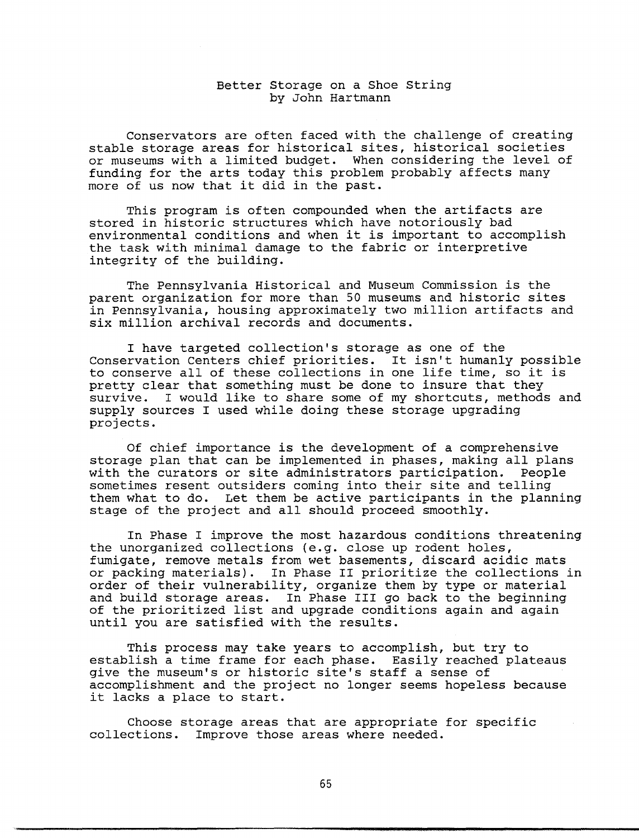## Better Storage on a Shoe String by John Hartmann

Conservators are often faced with the challenge of creating stable storage areas for historical sites, historical societies or museums with a limited budget. When considering the level of funding for the arts today this problem probably affects many more of us now that it did in the past.

This program is often compounded when the artifacts are stored in historic structures which have notoriously bad environmental conditions and when it is important to accomplish the task with minimal damage to the fabric or interpretive integrity of the building.

The Pennsylvania Historical and Museum Commission is the parent organization for more than 50 museums and historic sites in Pennsylvania, housing approximately two million artifacts and six million archival records and documents.

I have targeted collection's storage as one of the Conservation Centers chief priorities. It isn't humanly possible to conserve all of these collections in one life time, so it is pretty clear that something must be done to insure that they survive. I would like to share some of my shortcuts, methods and supply sources I used while doing these storage upgrading projects.

Of chief importance is the development of a comprehensive storage plan that can be implemented in phases, making all plans with the curators or site administrators participation. People sometimes resent outsiders coming into their site and telling them what to do. Let them be active participants in the planning stage of the project and all should proceed smoothly.

In Phase I improve the most hazardous conditions threatening the unorganized collections (e.g. close up rodent holes, fumigate, remove metals from wet basements, discard acidic mats or packing materials). In Phase II prioritize the collections in order of their vulnerability, organize them by type or material and build storage areas. In Phase III go back to the beginning of the prioritized list and upgrade conditions again and again until you are satisfied with the results.

This process may take years to accomplish, but try to establish a time frame for each phase. Easily reached plateaus give the museum's or historic site's staff a sense of accomplishment and the project no longer seems hopeless because it lacks a place to start.

Choose storage areas that are appropriate for specific collections. Improve those areas where needed.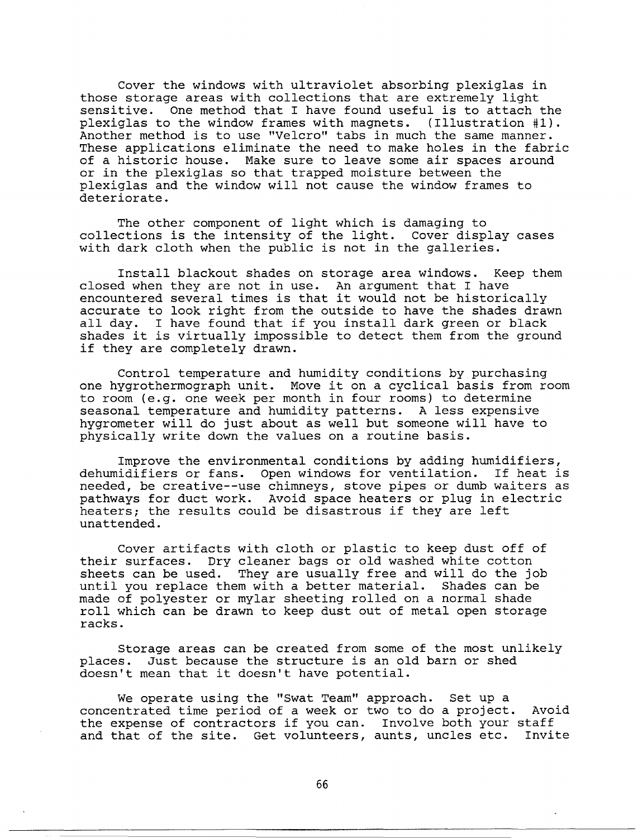Cover the windows with ultraviolet absorbing plexiglas in those storage areas with collections that are extremely light sensitive. One method that I have found useful is to attach to One method that I have found useful is to attach the plexiglas to the window frames with magnets. (Illustration #1). Another method is to use "Velcro" tabs in much the same manner. These applications eliminate the need to make holes in the fabric of a historic house. Make sure to leave some air spaces around or in the plexiglas so that trapped moisture between the plexiglas and the window will not cause the window frames to deteriorate.

The other component of light which is damaging to collections is the intensity of the light. Cover display cases with dark cloth when the public is not in the galleries.

Install blackout shades on storage area windows. Keep them closed when they are not in use. An argument that I have encountered several times is that it would not be historically accurate to look right from the outside to have the shades drawn all day. I have found that if you install dark green or black shades it is virtually impossible to detect them from the ground if they are completely drawn.

Control temperature and humidity conditions by purchasing one hygrothermograph unit. Move it on a cyclical basis from room to room (e.g. one week per month in four rooms) to determine seasonal temperature and humidity patterns. A less expensive hygrometer will do just about as well but someone will have to physically write down the values on a routine basis.

Improve the environmental conditions by adding humidifiers, dehumidifiers or fans. Open windows for ventilation. If heat is needed, be creative--use chimneys, stove pipes or dumb waiters as pathways for duct work. Avoid space heaters or plug in electric heaters; the results could be disastrous if they are left unattended.

Cover artifacts with cloth or plastic to keep dust off of their surfaces. Dry cleaner bags or old washed white cotton sheets can be used. They are usually free and will do the job until you replace them with a better material. Shades can be made of polyester or mylar sheeting rolled on a normal shade roll which can be drawn to keep dust out of metal open storage racks.

Storage areas can be created from some of the most unlikely places. Just because the structure is an old barn or shed doesn't mean that it doesn't have potential.

We operate using the "Swat Team" approach. Set up a concentrated time period of a week or two to do a project. Avoid the expense of contractors if you can. Involve both your staff and that of the site. Get volunteers, aunts, uncles etc. Invite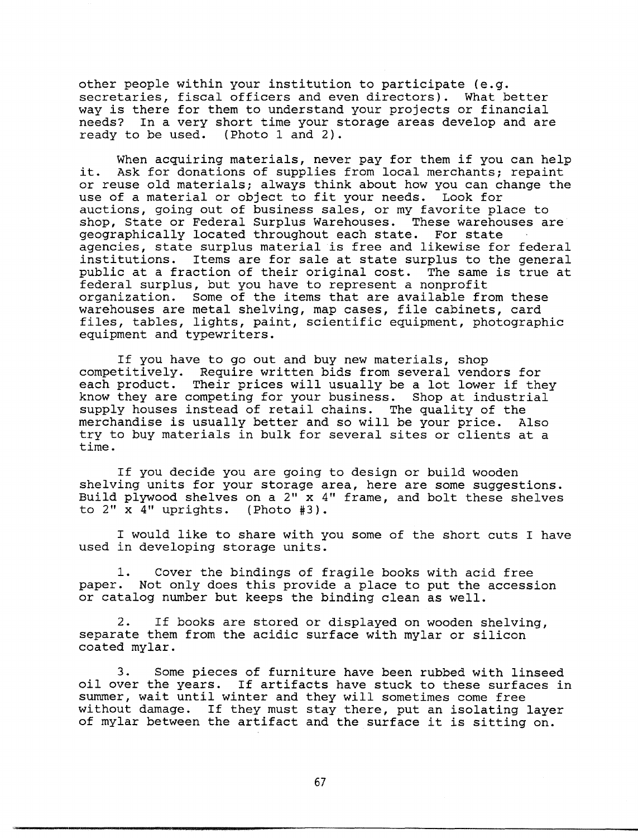other people within your institution to participate (e.g. secretaries, fiscal officers and even directors). What better way is there for them to understand your projects or financial needs? In a very short time your storage areas develop and are ready to be used. (Photo 1 and 2).

When acquiring materials, never pay for them if you can help it. Ask for donations of supplies from local merchants; repaint or reuse old materials; always think about how you can change the use of a material or object to fit your needs. Look for use of a material or object to fit your needs. auctions, going out of business sales, or my favorite place to shop, State or Federal Surplus Warehouses. These warehouses are geographically located throughout each state. For state agencies, state surplus material is free and likewise for federal institutions. Items are for sale at state surplus to the general public at a fraction of their original cost. The same is true at federal surplus, but you have to represent a nonprofit organization. Some of the items that are available from these warehouses are metal shelving, map cases, file cabinets, card files, tables, lights, paint, scientific equipment, photographic equipment and typewriters.

If you have to go out and buy new materials, shop competitively. Require written bids from several vendors for each product. Their prices will usually be a lot lower if they know they are competing for your business. Shop at industrial supply houses instead of retail chains. The quality of the merchandise is usually better and so will be your price. Also try to buy materials in bulk for several sites or clients at a time.

If you decide you are going to design or build wooden shelving units for your storage area, here are some suggestions. Build plywood shelves on a 2" x 4" frame, and bolt these shelves to 2" x 4" uprights. (Photo #3).

I would like to share with you some of the short cuts I have used in developing storage units.

1. Cover the bindings of fragile books with acid free paper. Not only does this provide a place to put the accession or catalog number but keeps the binding clean as well.

2. If books are stored or displayed on wooden shelving, separate them from the acidic surface with mylar or silicon coated mylar.

3. Some pieces of furniture have been rubbed with linseed oil over the years. If artifacts have stuck to these surfaces in summer, wait until winter and they will sometimes come free without damage. If they must stay there, put an isolating layer of mylar between the artifact and the surface it is sitting on.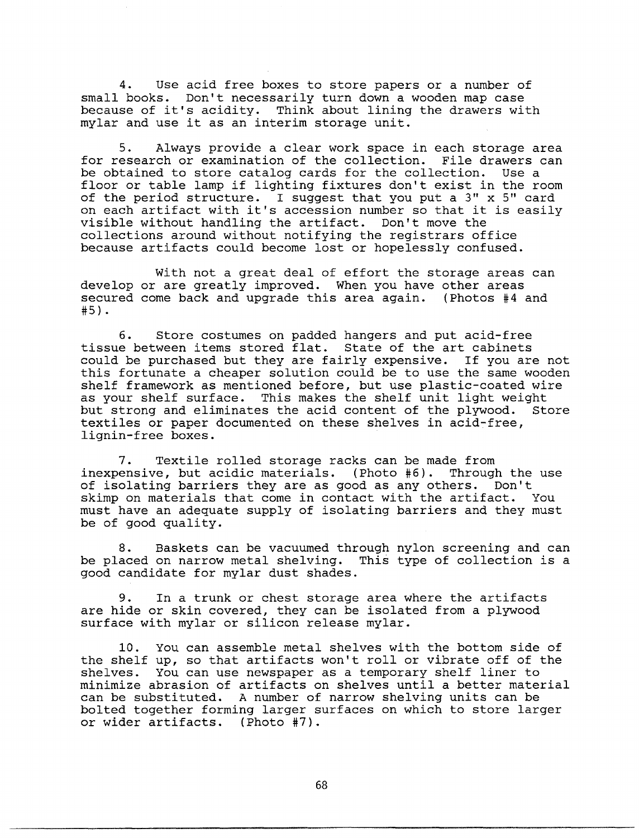4. Use acid free boxes to store papers or a number of small books. Don't necessarily turn down a wooden map case because of it's acidity. Think about lining the drawers with mylar and use it as an interim storage unit.

5. Always provide a clear work space in each storage area for research or examination of the collection. File drawers can be obtained to store catalog cards for the collection. Use a floor or table lamp if lighting fixtures don't exist in the room of the period structure. I suggest that you put a 3" x 5" card on each artifact with it's accession number so that it is easily visible without handling the artifact. Don't move the collections around without notifying the registrars office because artifacts could become lost or hopelessly confused.

With not a great deal of effort the storage areas can develop or are greatly improved. When you have other areas secured come back and upgrade this area again. (Photos #4 and #5) •

6. Store costumes on padded hangers and put acid-free tissue between items stored flat. State of the art cabinets could be purchased but they are fairly expensive. If you are not this fortunate a cheaper solution could be to use the same wooden shelf framework as mentioned before, but use plastic-coated wire as your shelf surface. This makes the shelf unit light weight but strong and eliminates the acid content of the plywood. Store textiles or paper documented on these shelves in acid-free, lignin-free boxes.

7. Textile rolled storage racks can be made from inexpensive, but acidic materials. (Photo #6). Through the use of isolating barriers they are as good as any others. Don't skimp on materials that come in contact with the artifact. You must have an adequate supply of isolating barriers and they must be of good quality.

8. Baskets can be vacuumed through nylon screening and can be placed on narrow metal shelving. This type of collection is a good candidate for mylar dust shades.

9. In a trunk or chest storage area where the artifacts are hide or skin covered, they can be isolated from a plywood surface with mylar or silicon release mylar.

10. You can assemble metal shelves with the bottom side of the shelf up, so that artifacts won't roll or vibrate off of the shelves. You can use newspaper as a temporary shelf liner to minimize abrasion of artifacts on shelves until a better material can be substituted. A number of narrow shelving units can be bolted together forming larger surfaces on which to store larger or wider artifacts. (Photo #7).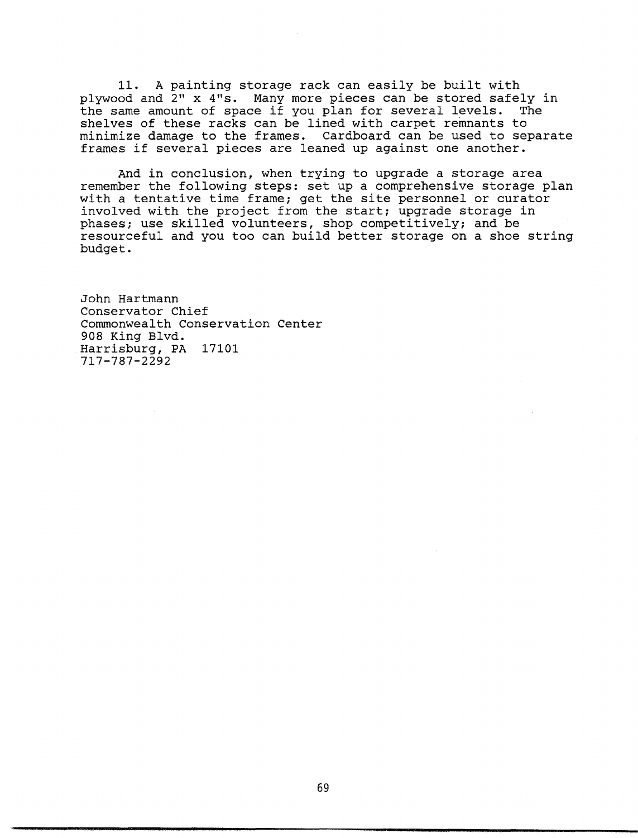11. A painting storage rack can easily be built with plywood and 2" x 4"s. Many more pieces can be stored safely in the same amount of space if you plan for several levels. The shelves of these racks can be lined with carpet remnants to minimize damage to the frames. Cardboard can be used to separate frames if several pieces are leaned up against one another.

And in conclusion, when trying to upgrade a storage area remember the following steps: set up a comprehensive storage plan with a tentative time frame; get the site personnel or curator involved with the project from the start; upgrade storage in phases; use skilled volunteers, shop competitively; and be resourceful and you too can build better storage on a shoe string budget.

John Hartmann Conservator Chief Commonwealth Conservation Center 908 King Blvd. Harrisburg, PA 17101 717-787-2292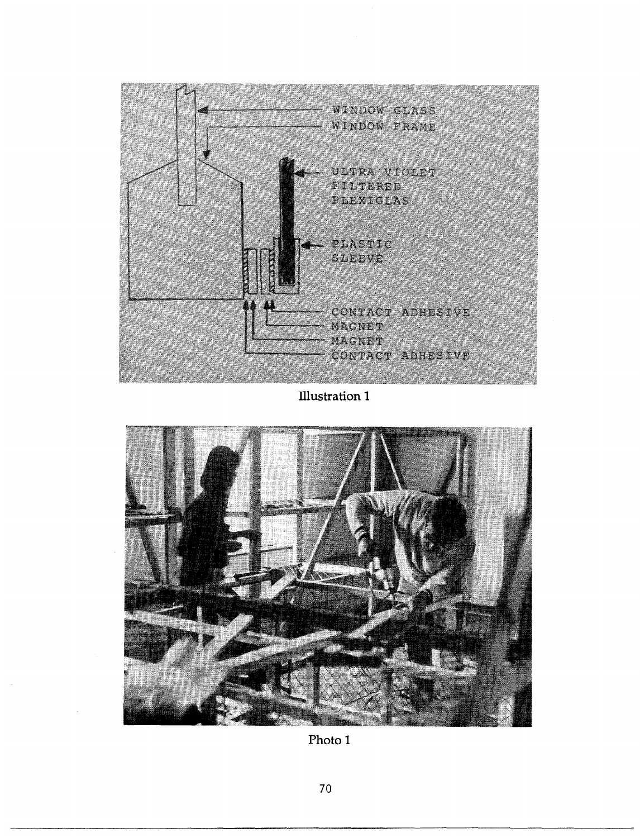

**Illustration** 1



**Photo 1**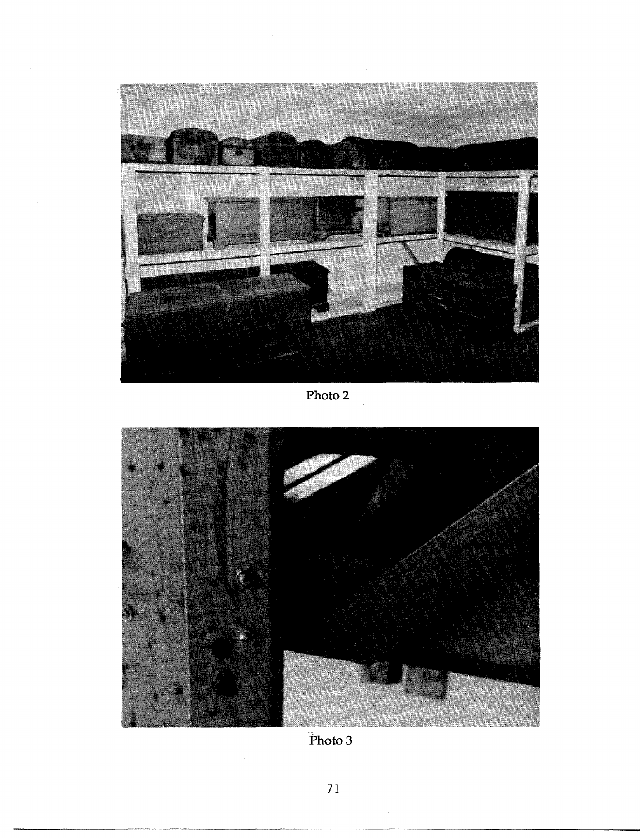

Photo 2



 $\ddot{P}$ hoto 3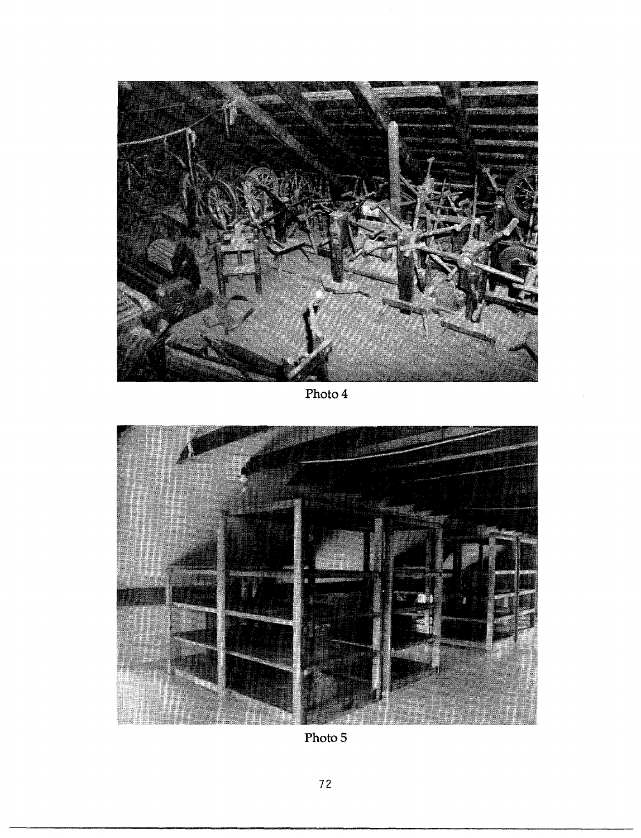

Photo4



Photo 5